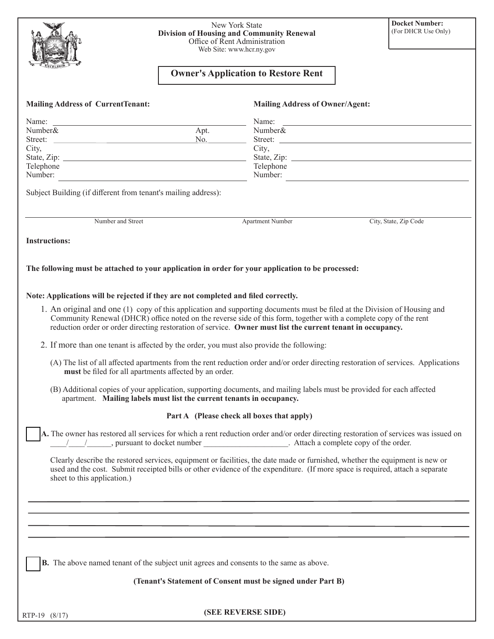| 4         |  |
|-----------|--|
| EXCELSIOR |  |

## New York State **Division of Housing and Community Renewal** Office of Rent Administration Web Site: www.hcr.ny.gov

## **Owner's Application to Restore Rent**

| <b>Mailing Address of CurrentTenant:</b>                                                                                                                                                                                                                                                                                                                      | <b>Mailing Address of Owner/Agent:</b>     |                                        |
|---------------------------------------------------------------------------------------------------------------------------------------------------------------------------------------------------------------------------------------------------------------------------------------------------------------------------------------------------------------|--------------------------------------------|----------------------------------------|
|                                                                                                                                                                                                                                                                                                                                                               |                                            |                                        |
| Name:<br><u> 1980 - Andrea Station, amerikansk politik (</u><br>Number&                                                                                                                                                                                                                                                                                       | Name:<br>Number&                           |                                        |
| Apt.<br><u> 1990 - Johann Barn, amerikansk politiker (</u><br>Street:                                                                                                                                                                                                                                                                                         | No.                                        |                                        |
| City,                                                                                                                                                                                                                                                                                                                                                         | City,                                      |                                        |
|                                                                                                                                                                                                                                                                                                                                                               |                                            |                                        |
| Telephone                                                                                                                                                                                                                                                                                                                                                     | Telephone                                  |                                        |
| Number:                                                                                                                                                                                                                                                                                                                                                       |                                            | Number:                                |
| Subject Building (if different from tenant's mailing address):                                                                                                                                                                                                                                                                                                |                                            |                                        |
| Number and Street                                                                                                                                                                                                                                                                                                                                             | Apartment Number                           | City, State, Zip Code                  |
| <b>Instructions:</b>                                                                                                                                                                                                                                                                                                                                          |                                            |                                        |
|                                                                                                                                                                                                                                                                                                                                                               |                                            |                                        |
| The following must be attached to your application in order for your application to be processed:                                                                                                                                                                                                                                                             |                                            |                                        |
| Note: Applications will be rejected if they are not completed and filed correctly.                                                                                                                                                                                                                                                                            |                                            |                                        |
|                                                                                                                                                                                                                                                                                                                                                               |                                            |                                        |
| 1. An original and one (1) copy of this application and supporting documents must be filed at the Division of Housing and<br>Community Renewal (DHCR) office noted on the reverse side of this form, together with a complete copy of the rent<br>reduction order or order directing restoration of service. Owner must list the current tenant in occupancy. |                                            |                                        |
| 2. If more than one tenant is affected by the order, you must also provide the following:                                                                                                                                                                                                                                                                     |                                            |                                        |
| (A) The list of all affected apartments from the rent reduction order and/or order directing restoration of services. Applications<br>must be filed for all apartments affected by an order.                                                                                                                                                                  |                                            |                                        |
| (B) Additional copies of your application, supporting documents, and mailing labels must be provided for each affected<br>apartment. Mailing labels must list the current tenants in occupancy.                                                                                                                                                               |                                            |                                        |
|                                                                                                                                                                                                                                                                                                                                                               | Part A (Please check all boxes that apply) |                                        |
| A. The owner has restored all services for which a rent reduction order and/or order directing restoration of services was issued on<br>/_______, pursuant to docket number                                                                                                                                                                                   |                                            | . Attach a complete copy of the order. |
| Clearly describe the restored services, equipment or facilities, the date made or furnished, whether the equipment is new or<br>used and the cost. Submit receipted bills or other evidence of the expenditure. (If more space is required, attach a separate<br>sheet to this application.)                                                                  |                                            |                                        |
|                                                                                                                                                                                                                                                                                                                                                               |                                            |                                        |
|                                                                                                                                                                                                                                                                                                                                                               |                                            |                                        |
|                                                                                                                                                                                                                                                                                                                                                               |                                            |                                        |
|                                                                                                                                                                                                                                                                                                                                                               |                                            |                                        |
| <b>B.</b> The above named tenant of the subject unit agrees and consents to the same as above.                                                                                                                                                                                                                                                                |                                            |                                        |
|                                                                                                                                                                                                                                                                                                                                                               |                                            |                                        |